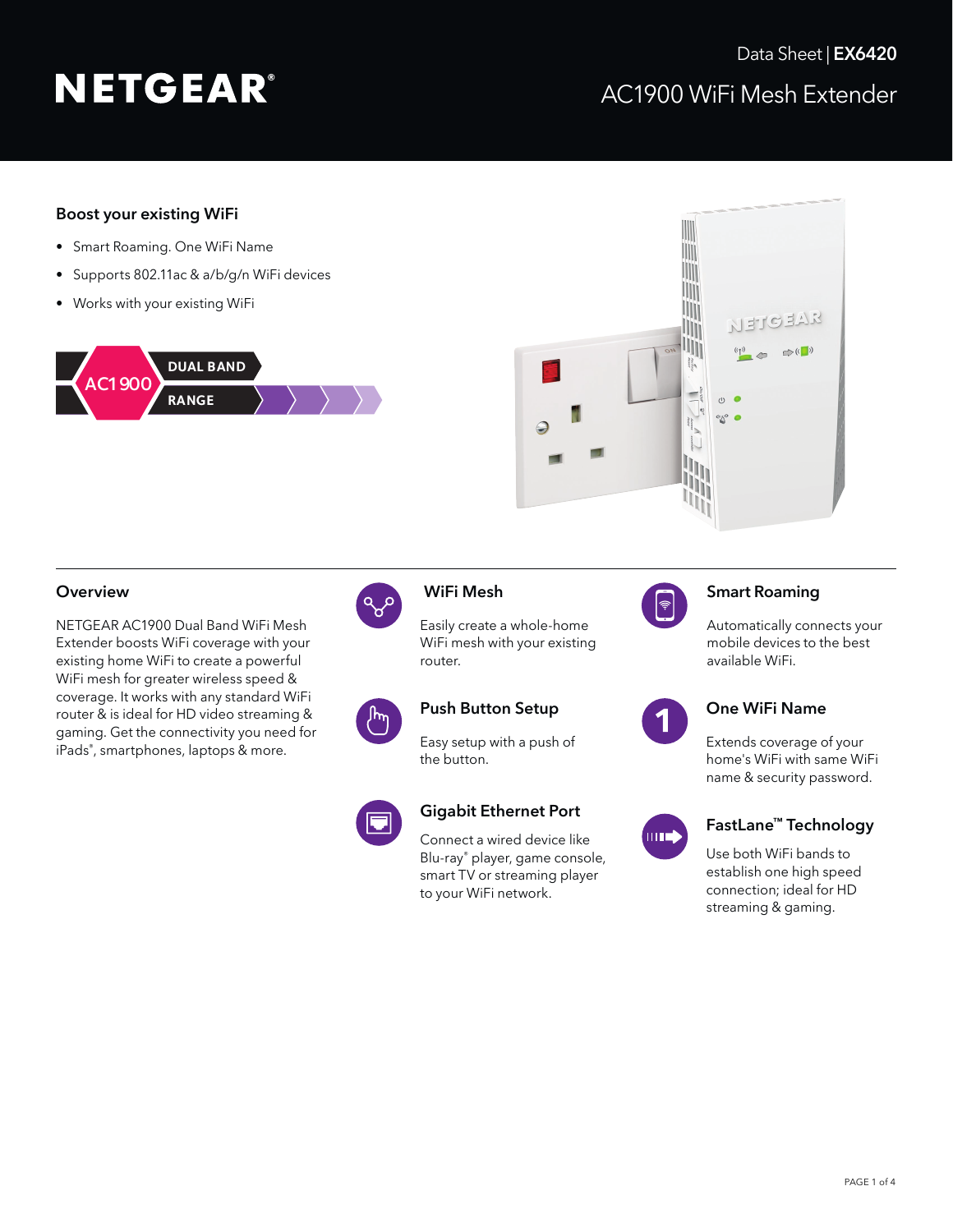# Boost your existing WiFi

- Smart Roaming. One WiFi Name
- Supports 802.11ac & a/b/g/n WiFi devices
- Works with your existing WiFi





# Overview **WiFi Mesh**

NETGEAR AC1900 Dual Band WiFi Mesh Extender boosts WiFi coverage with your existing home WiFi to create a powerful WiFi mesh for greater wireless speed & coverage. It works with any standard WiFi router & is ideal for HD video streaming & gaming. Get the connectivity you need for iPads® , smartphones, laptops & more.



Easily create a whole-home WiFi mesh with your existing router.



Easy setup with a push of the button.



Connect a wired device like Blu-ray® player, game console, smart TV or streaming player to your WiFi network.



# Smart Roaming

Automatically connects your mobile devices to the best available WiFi.



## Push Button Setup **Connect Connect Push Button Setup** One WiFi Name

Extends coverage of your home's WiFi with same WiFi name & security password.



# Gigabit Ethernet Port<br>Connect a wired device like FastLane™ Technology

Use both WiFi bands to establish one high speed connection; ideal for HD streaming & gaming.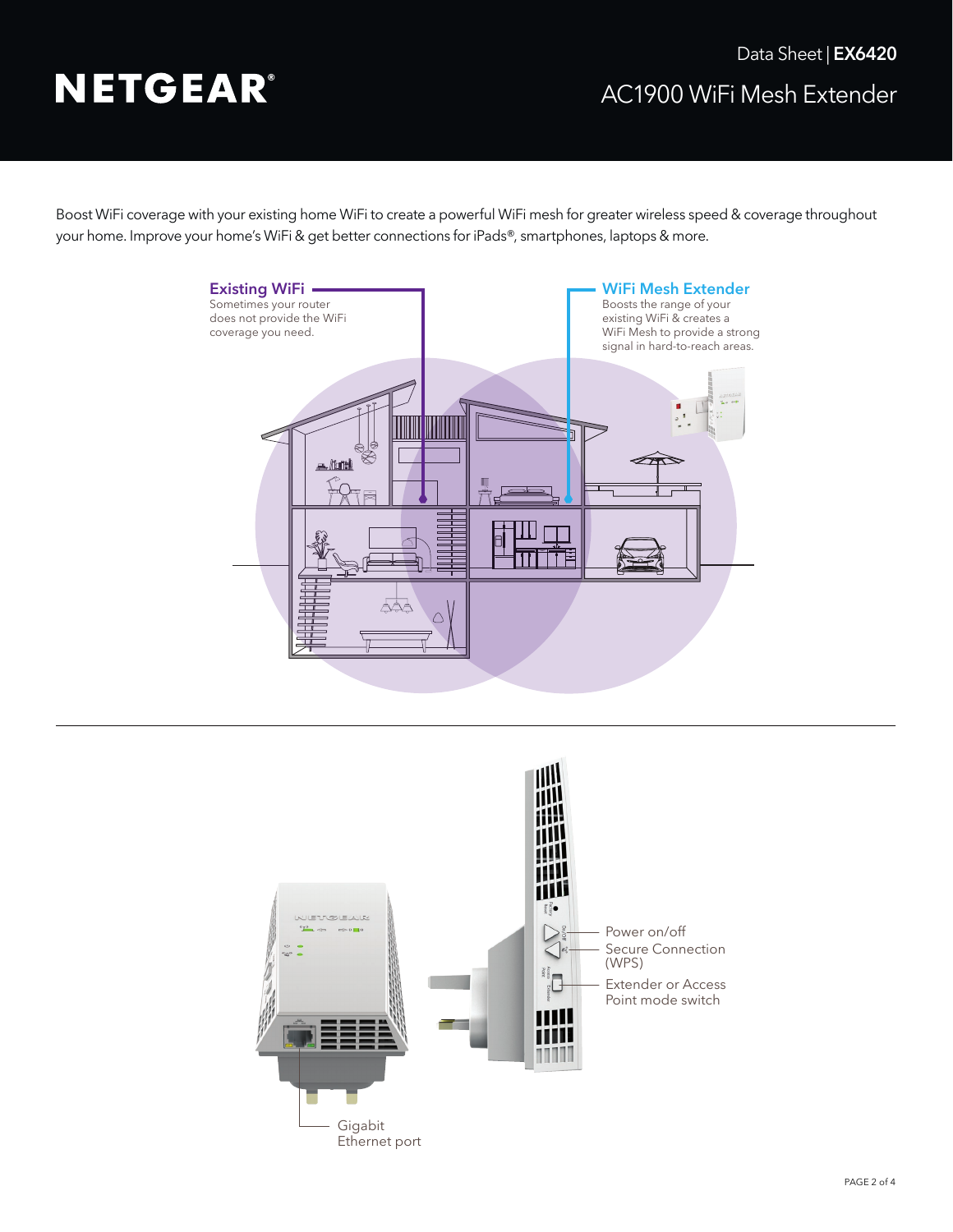Boost WiFi coverage with your existing home WiFi to create a powerful WiFi mesh for greater wireless speed & coverage throughout your home. Improve your home's WiFi & get better connections for iPads®, smartphones, laptops & more.



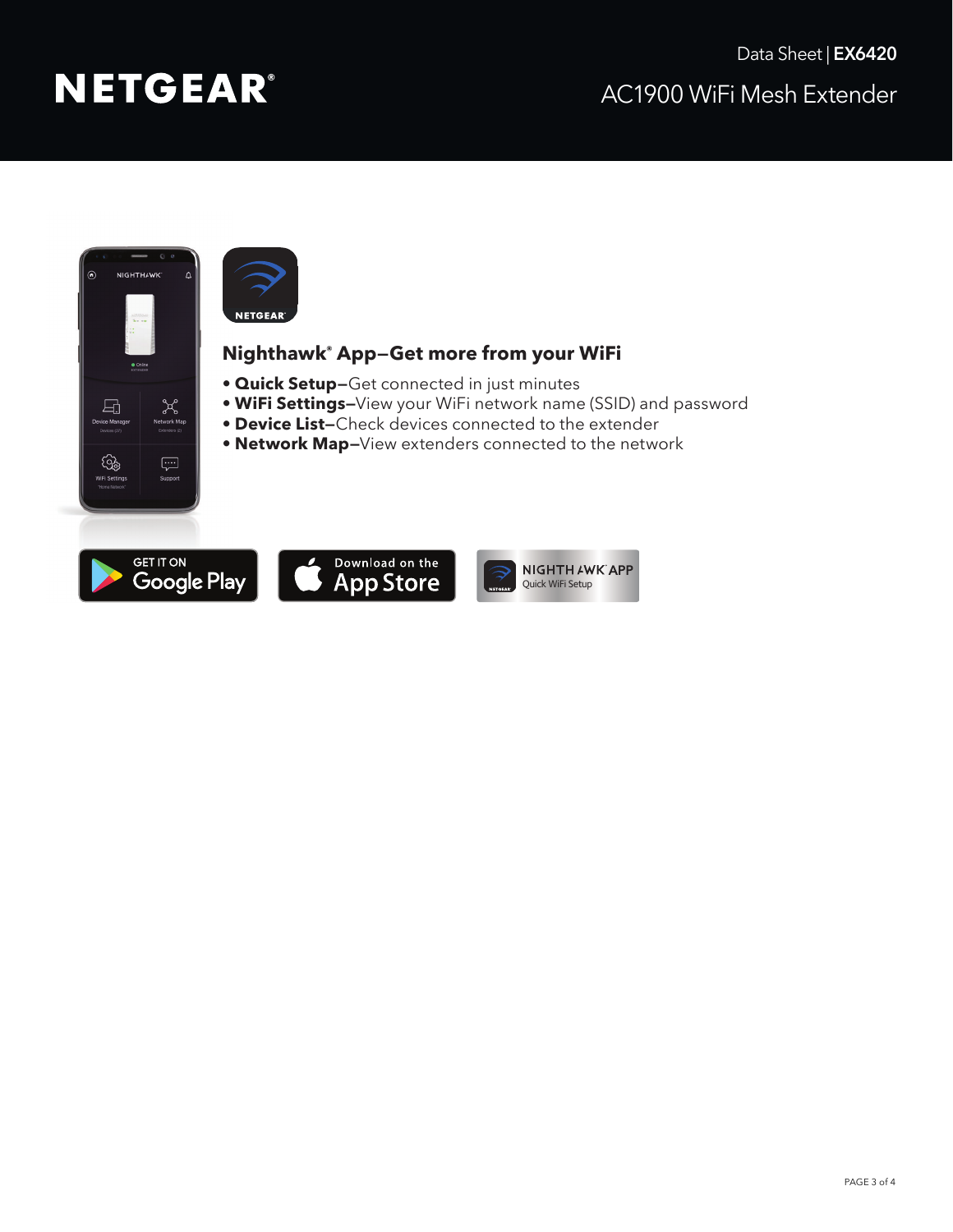



# **Nighthawk® App—Get more from your WiFi**

- **Quick Setup—**Get connected in just minutes
- **WiFi Settings—**View your WiFi network name (SSID) and password
- **Device List—**Check devices connected to the extender
- **Network Map—**View extenders connected to the network